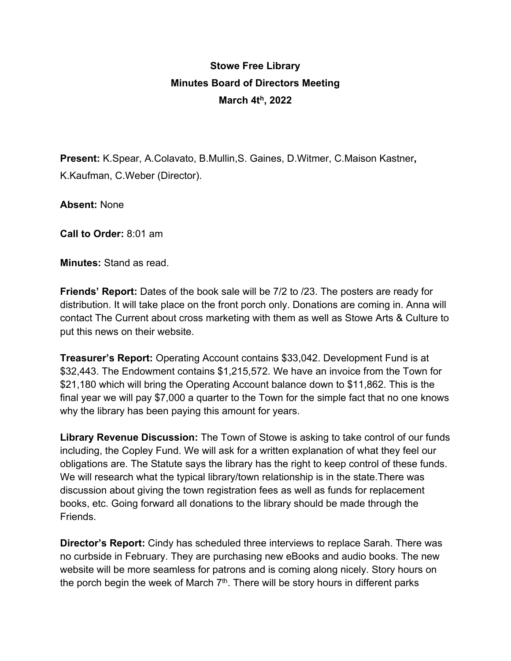## **Stowe Free Library Minutes Board of Directors Meeting March 4th, 2022**

**Present:** K.Spear, A.Colavato, B.Mullin,S. Gaines, D.Witmer, C.Maison Kastner**,**  K.Kaufman, C.Weber (Director).

**Absent:** None

**Call to Order:** 8:01 am

**Minutes:** Stand as read.

**Friends' Report:** Dates of the book sale will be 7/2 to /23. The posters are ready for distribution. It will take place on the front porch only. Donations are coming in. Anna will contact The Current about cross marketing with them as well as Stowe Arts & Culture to put this news on their website.

**Treasurer's Report:** Operating Account contains \$33,042. Development Fund is at \$32,443. The Endowment contains \$1,215,572. We have an invoice from the Town for \$21,180 which will bring the Operating Account balance down to \$11,862. This is the final year we will pay \$7,000 a quarter to the Town for the simple fact that no one knows why the library has been paying this amount for years.

**Library Revenue Discussion:** The Town of Stowe is asking to take control of our funds including, the Copley Fund. We will ask for a written explanation of what they feel our obligations are. The Statute says the library has the right to keep control of these funds. We will research what the typical library/town relationship is in the state.There was discussion about giving the town registration fees as well as funds for replacement books, etc. Going forward all donations to the library should be made through the Friends.

**Director's Report:** Cindy has scheduled three interviews to replace Sarah. There was no curbside in February. They are purchasing new eBooks and audio books. The new website will be more seamless for patrons and is coming along nicely. Story hours on the porch begin the week of March  $7<sup>th</sup>$ . There will be story hours in different parks